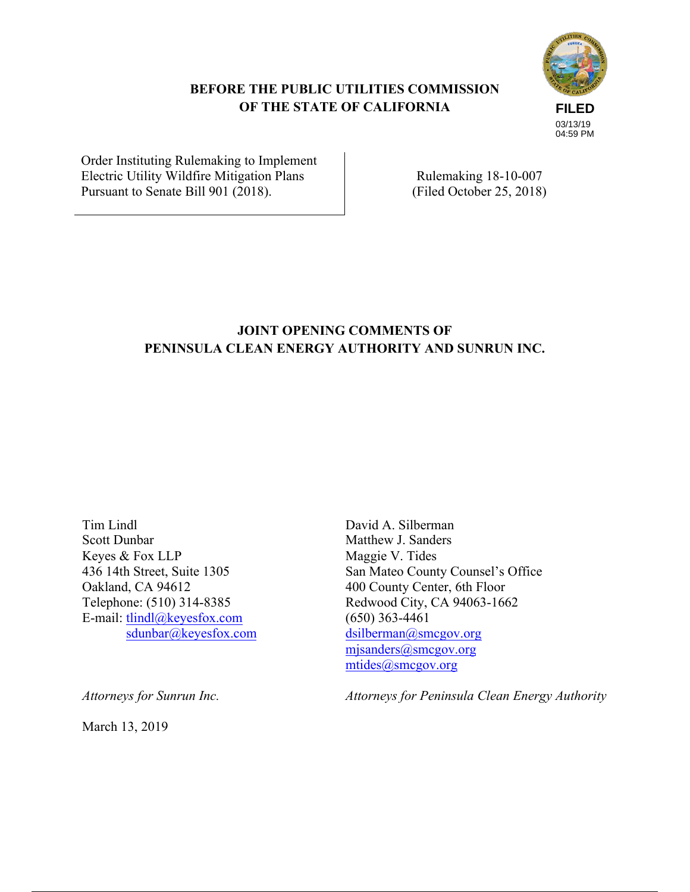## **BEFORE THE PUBLIC UTILITIES COMMISSION OF THE STATE OF CALIFORNIA**



Order Instituting Rulemaking to Implement Electric Utility Wildfire Mitigation Plans Pursuant to Senate Bill 901 (2018).

Rulemaking 18-10-007 (Filed October 25, 2018)

# **JOINT OPENING COMMENTS OF PENINSULA CLEAN ENERGY AUTHORITY AND SUNRUN INC.**

Tim Lindl Scott Dunbar Keyes & Fox LLP 436 14th Street, Suite 1305 Oakland, CA 94612 Telephone: (510) 314-8385 E-mail: tlindl@keyesfox.com sdunbar@keyesfox.com

Maggie V. Tides San Mateo County Counsel's Office 400 County Center, 6th Floor Redwood City, CA 94063-1662 (650) 363-4461 dsilberman@smcgov.org mjsanders@smcgov.org mtides@smcgov.org

David A. Silberman Matthew J. Sanders

*Attorneys for Peninsula Clean Energy Authority*

*Attorneys for Sunrun Inc.*

March 13, 2019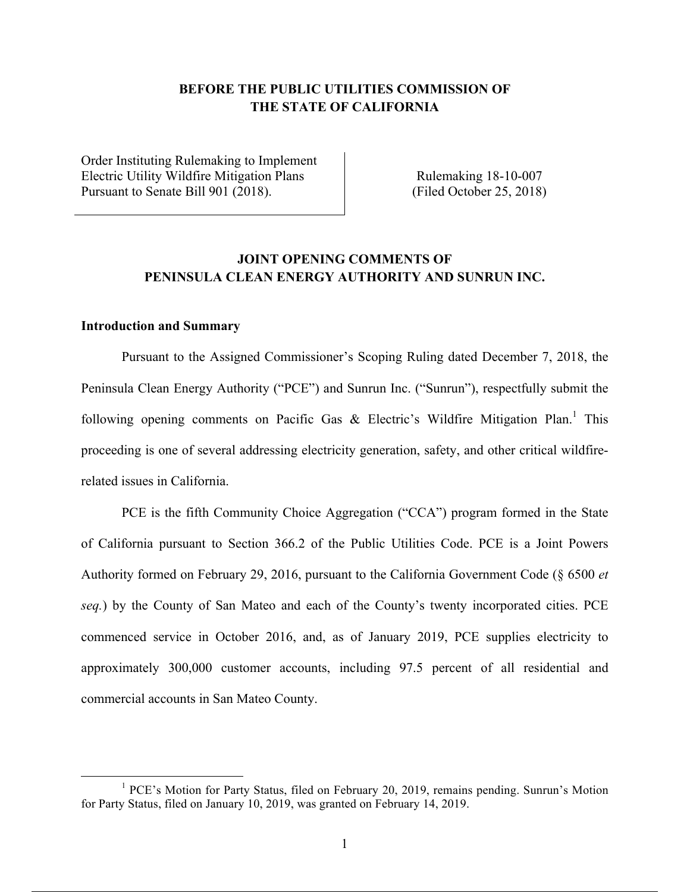### **BEFORE THE PUBLIC UTILITIES COMMISSION OF THE STATE OF CALIFORNIA**

Order Instituting Rulemaking to Implement Electric Utility Wildfire Mitigation Plans Pursuant to Senate Bill 901 (2018).

Rulemaking 18-10-007 (Filed October 25, 2018)

### **JOINT OPENING COMMENTS OF PENINSULA CLEAN ENERGY AUTHORITY AND SUNRUN INC.**

#### **Introduction and Summary**

 

Pursuant to the Assigned Commissioner's Scoping Ruling dated December 7, 2018, the Peninsula Clean Energy Authority ("PCE") and Sunrun Inc. ("Sunrun"), respectfully submit the following opening comments on Pacific Gas  $\&$  Electric's Wildfire Mitigation Plan.<sup>1</sup> This proceeding is one of several addressing electricity generation, safety, and other critical wildfirerelated issues in California.

PCE is the fifth Community Choice Aggregation ("CCA") program formed in the State of California pursuant to Section 366.2 of the Public Utilities Code. PCE is a Joint Powers Authority formed on February 29, 2016, pursuant to the California Government Code (§ 6500 *et seq.*) by the County of San Mateo and each of the County's twenty incorporated cities. PCE commenced service in October 2016, and, as of January 2019, PCE supplies electricity to approximately 300,000 customer accounts, including 97.5 percent of all residential and commercial accounts in San Mateo County.

<sup>&</sup>lt;sup>1</sup> PCE's Motion for Party Status, filed on February 20, 2019, remains pending. Sunrun's Motion for Party Status, filed on January 10, 2019, was granted on February 14, 2019.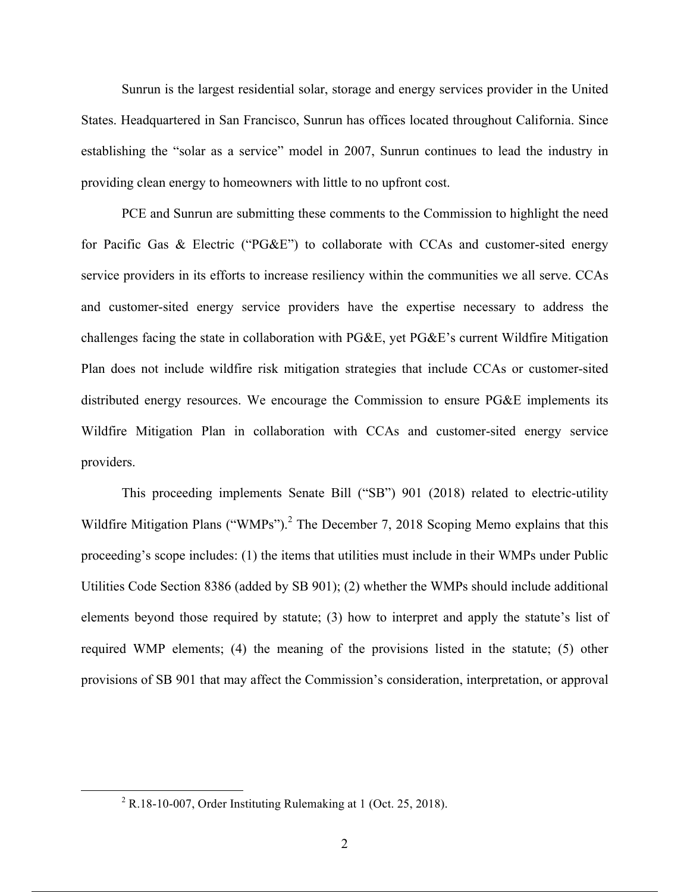Sunrun is the largest residential solar, storage and energy services provider in the United States. Headquartered in San Francisco, Sunrun has offices located throughout California. Since establishing the "solar as a service" model in 2007, Sunrun continues to lead the industry in providing clean energy to homeowners with little to no upfront cost.

PCE and Sunrun are submitting these comments to the Commission to highlight the need for Pacific Gas & Electric ("PG&E") to collaborate with CCAs and customer-sited energy service providers in its efforts to increase resiliency within the communities we all serve. CCAs and customer-sited energy service providers have the expertise necessary to address the challenges facing the state in collaboration with PG&E, yet PG&E's current Wildfire Mitigation Plan does not include wildfire risk mitigation strategies that include CCAs or customer-sited distributed energy resources. We encourage the Commission to ensure PG&E implements its Wildfire Mitigation Plan in collaboration with CCAs and customer-sited energy service providers.

This proceeding implements Senate Bill ("SB") 901 (2018) related to electric-utility Wildfire Mitigation Plans ("WMPs").<sup>2</sup> The December 7, 2018 Scoping Memo explains that this proceeding's scope includes: (1) the items that utilities must include in their WMPs under Public Utilities Code Section 8386 (added by SB 901); (2) whether the WMPs should include additional elements beyond those required by statute; (3) how to interpret and apply the statute's list of required WMP elements; (4) the meaning of the provisions listed in the statute; (5) other provisions of SB 901 that may affect the Commission's consideration, interpretation, or approval

<u> 1989 - Jan Stein Stein, fransk politiker (d. 1989)</u>

<sup>2</sup> R.18-10-007, Order Instituting Rulemaking at 1 (Oct. 25, 2018).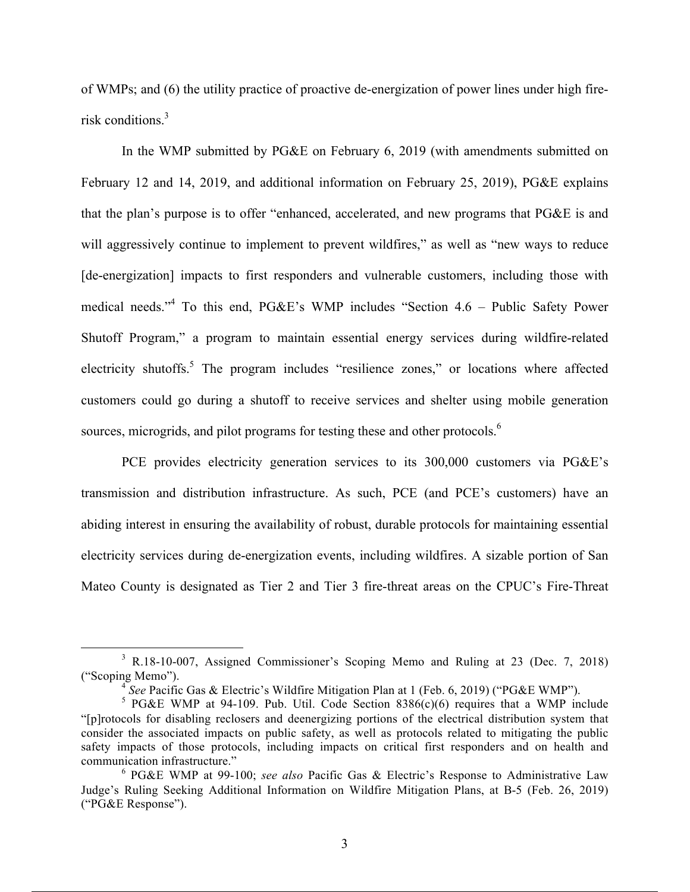of WMPs; and (6) the utility practice of proactive de-energization of power lines under high firerisk conditions.3

In the WMP submitted by PG&E on February 6, 2019 (with amendments submitted on February 12 and 14, 2019, and additional information on February 25, 2019), PG&E explains that the plan's purpose is to offer "enhanced, accelerated, and new programs that PG&E is and will aggressively continue to implement to prevent wildfires," as well as "new ways to reduce [de-energization] impacts to first responders and vulnerable customers, including those with medical needs."4 To this end, PG&E's WMP includes "Section 4.6 – Public Safety Power Shutoff Program," a program to maintain essential energy services during wildfire-related electricity shutoffs.<sup>5</sup> The program includes "resilience zones," or locations where affected customers could go during a shutoff to receive services and shelter using mobile generation sources, microgrids, and pilot programs for testing these and other protocols.<sup>6</sup>

PCE provides electricity generation services to its 300,000 customers via PG&E's transmission and distribution infrastructure. As such, PCE (and PCE's customers) have an abiding interest in ensuring the availability of robust, durable protocols for maintaining essential electricity services during de-energization events, including wildfires. A sizable portion of San Mateo County is designated as Tier 2 and Tier 3 fire-threat areas on the CPUC's Fire-Threat

 

<sup>3</sup> R.18-10-007, Assigned Commissioner's Scoping Memo and Ruling at 23 (Dec. 7, 2018) ("Scoping Memo").

<sup>4</sup> *See* Pacific Gas & Electric's Wildfire Mitigation Plan at 1 (Feb. 6, 2019) ("PG&E WMP").

 $5$  PG&E WMP at 94-109. Pub. Util. Code Section 8386(c)(6) requires that a WMP include "[p]rotocols for disabling reclosers and deenergizing portions of the electrical distribution system that consider the associated impacts on public safety, as well as protocols related to mitigating the public safety impacts of those protocols, including impacts on critical first responders and on health and communication infrastructure."

<sup>6</sup> PG&E WMP at 99-100; *see also* Pacific Gas & Electric's Response to Administrative Law Judge's Ruling Seeking Additional Information on Wildfire Mitigation Plans, at B-5 (Feb. 26, 2019) ("PG&E Response").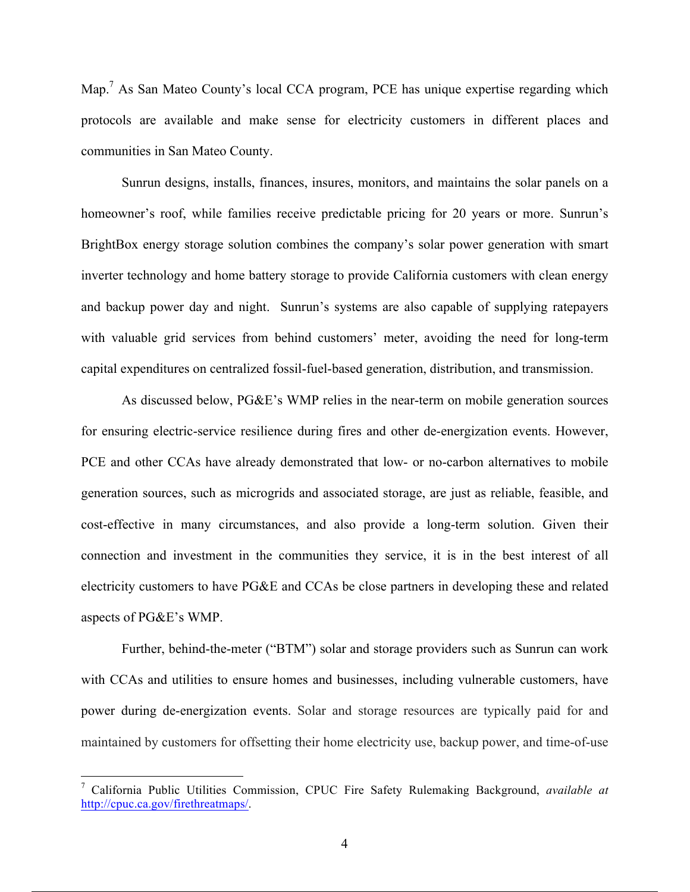Map.<sup>7</sup> As San Mateo County's local CCA program, PCE has unique expertise regarding which protocols are available and make sense for electricity customers in different places and communities in San Mateo County.

Sunrun designs, installs, finances, insures, monitors, and maintains the solar panels on a homeowner's roof, while families receive predictable pricing for 20 years or more. Sunrun's BrightBox energy storage solution combines the company's solar power generation with smart inverter technology and home battery storage to provide California customers with clean energy and backup power day and night. Sunrun's systems are also capable of supplying ratepayers with valuable grid services from behind customers' meter, avoiding the need for long-term capital expenditures on centralized fossil-fuel-based generation, distribution, and transmission.

As discussed below, PG&E's WMP relies in the near-term on mobile generation sources for ensuring electric-service resilience during fires and other de-energization events. However, PCE and other CCAs have already demonstrated that low- or no-carbon alternatives to mobile generation sources, such as microgrids and associated storage, are just as reliable, feasible, and cost-effective in many circumstances, and also provide a long-term solution. Given their connection and investment in the communities they service, it is in the best interest of all electricity customers to have PG&E and CCAs be close partners in developing these and related aspects of PG&E's WMP.

Further, behind-the-meter ("BTM") solar and storage providers such as Sunrun can work with CCAs and utilities to ensure homes and businesses, including vulnerable customers, have power during de-energization events. Solar and storage resources are typically paid for and maintained by customers for offsetting their home electricity use, backup power, and time-of-use

 

<sup>7</sup> California Public Utilities Commission, CPUC Fire Safety Rulemaking Background, *available at* http://cpuc.ca.gov/firethreatmaps/.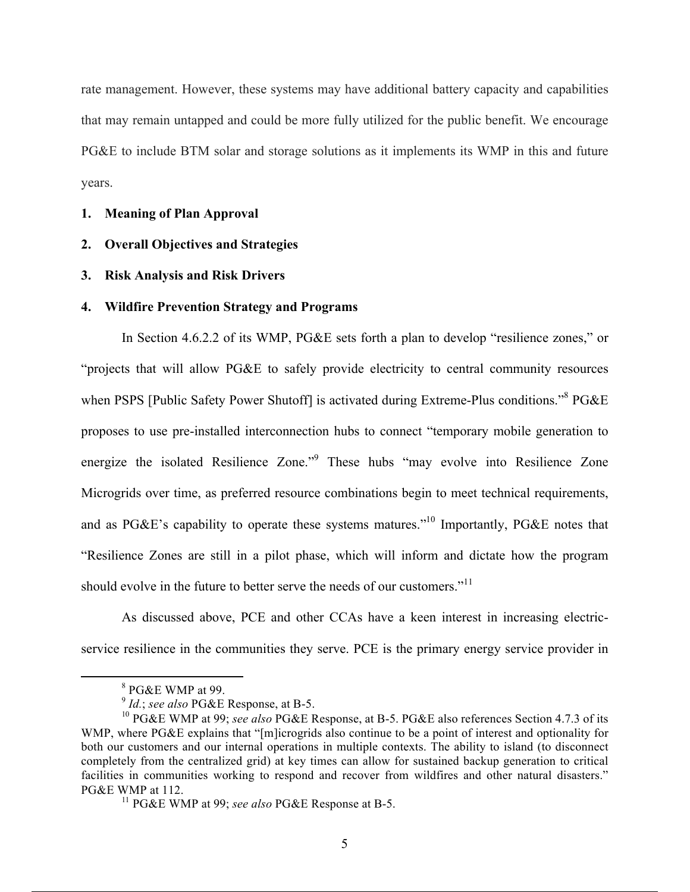rate management. However, these systems may have additional battery capacity and capabilities that may remain untapped and could be more fully utilized for the public benefit. We encourage PG&E to include BTM solar and storage solutions as it implements its WMP in this and future years.

#### **1. Meaning of Plan Approval**

- **2. Overall Objectives and Strategies**
- **3. Risk Analysis and Risk Drivers**

#### **4. Wildfire Prevention Strategy and Programs**

In Section 4.6.2.2 of its WMP, PG&E sets forth a plan to develop "resilience zones," or "projects that will allow PG&E to safely provide electricity to central community resources when PSPS [Public Safety Power Shutoff] is activated during Extreme-Plus conditions."<sup>8</sup> PG&E proposes to use pre-installed interconnection hubs to connect "temporary mobile generation to energize the isolated Resilience Zone."<sup>9</sup> These hubs "may evolve into Resilience Zone Microgrids over time, as preferred resource combinations begin to meet technical requirements, and as PG&E's capability to operate these systems matures."<sup>10</sup> Importantly, PG&E notes that "Resilience Zones are still in a pilot phase, which will inform and dictate how the program should evolve in the future to better serve the needs of our customers."<sup>11</sup>

As discussed above, PCE and other CCAs have a keen interest in increasing electricservice resilience in the communities they serve. PCE is the primary energy service provider in

<u> 1989 - Jan Stein Stein, fransk politiker (d. 1989)</u>

<sup>8</sup> PG&E WMP at 99.

<sup>9</sup> *Id.*; *see also* PG&E Response, at B-5.

<sup>10</sup> PG&E WMP at 99; *see also* PG&E Response, at B-5. PG&E also references Section 4.7.3 of its WMP, where PG&E explains that "[m]icrogrids also continue to be a point of interest and optionality for both our customers and our internal operations in multiple contexts. The ability to island (to disconnect completely from the centralized grid) at key times can allow for sustained backup generation to critical facilities in communities working to respond and recover from wildfires and other natural disasters." PG&E WMP at 112.

<sup>11</sup> PG&E WMP at 99; *see also* PG&E Response at B-5.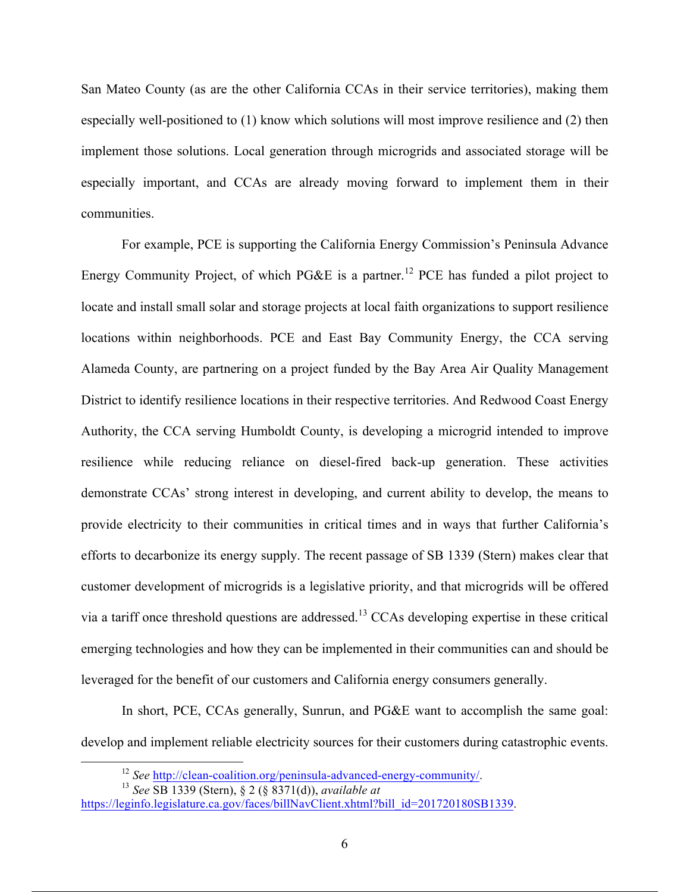San Mateo County (as are the other California CCAs in their service territories), making them especially well-positioned to (1) know which solutions will most improve resilience and (2) then implement those solutions. Local generation through microgrids and associated storage will be especially important, and CCAs are already moving forward to implement them in their communities.

For example, PCE is supporting the California Energy Commission's Peninsula Advance Energy Community Project, of which PG&E is a partner.<sup>12</sup> PCE has funded a pilot project to locate and install small solar and storage projects at local faith organizations to support resilience locations within neighborhoods. PCE and East Bay Community Energy, the CCA serving Alameda County, are partnering on a project funded by the Bay Area Air Quality Management District to identify resilience locations in their respective territories. And Redwood Coast Energy Authority, the CCA serving Humboldt County, is developing a microgrid intended to improve resilience while reducing reliance on diesel-fired back-up generation. These activities demonstrate CCAs' strong interest in developing, and current ability to develop, the means to provide electricity to their communities in critical times and in ways that further California's efforts to decarbonize its energy supply. The recent passage of SB 1339 (Stern) makes clear that customer development of microgrids is a legislative priority, and that microgrids will be offered via a tariff once threshold questions are addressed.<sup>13</sup> CCAs developing expertise in these critical emerging technologies and how they can be implemented in their communities can and should be leveraged for the benefit of our customers and California energy consumers generally.

In short, PCE, CCAs generally, Sunrun, and PG&E want to accomplish the same goal: develop and implement reliable electricity sources for their customers during catastrophic events.

 

<sup>12</sup> *See* http://clean-coalition.org/peninsula-advanced-energy-community/. 13 *See* SB 1339 (Stern), § 2 (§ 8371(d)), *available at*

https://leginfo.legislature.ca.gov/faces/billNavClient.xhtml?bill\_id=201720180SB1339.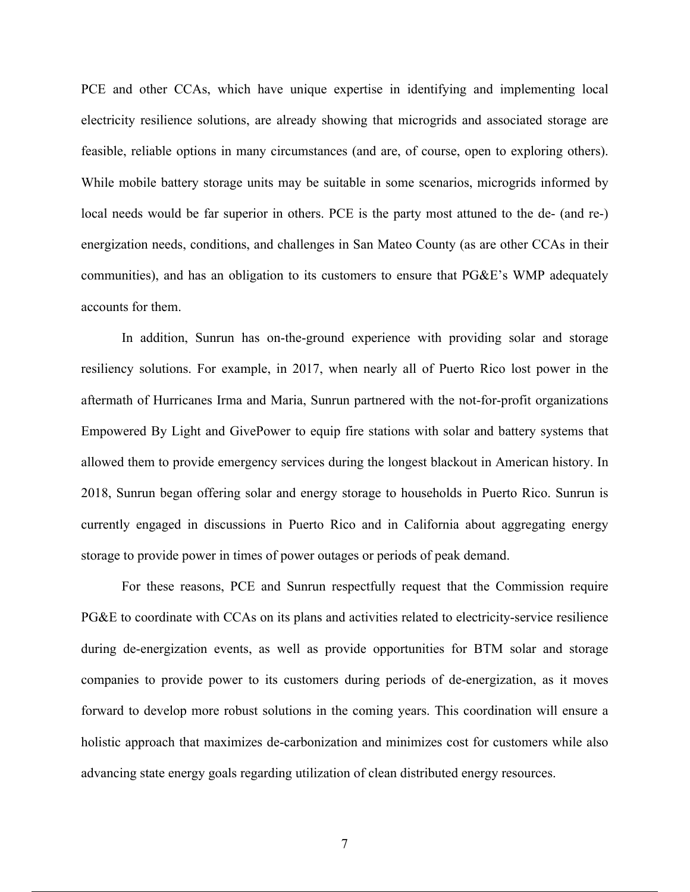PCE and other CCAs, which have unique expertise in identifying and implementing local electricity resilience solutions, are already showing that microgrids and associated storage are feasible, reliable options in many circumstances (and are, of course, open to exploring others). While mobile battery storage units may be suitable in some scenarios, microgrids informed by local needs would be far superior in others. PCE is the party most attuned to the de- (and re-) energization needs, conditions, and challenges in San Mateo County (as are other CCAs in their communities), and has an obligation to its customers to ensure that PG&E's WMP adequately accounts for them.

In addition, Sunrun has on-the-ground experience with providing solar and storage resiliency solutions. For example, in 2017, when nearly all of Puerto Rico lost power in the aftermath of Hurricanes Irma and Maria, Sunrun partnered with the not-for-profit organizations Empowered By Light and GivePower to equip fire stations with solar and battery systems that allowed them to provide emergency services during the longest blackout in American history. In 2018, Sunrun began offering solar and energy storage to households in Puerto Rico. Sunrun is currently engaged in discussions in Puerto Rico and in California about aggregating energy storage to provide power in times of power outages or periods of peak demand.

For these reasons, PCE and Sunrun respectfully request that the Commission require PG&E to coordinate with CCAs on its plans and activities related to electricity-service resilience during de-energization events, as well as provide opportunities for BTM solar and storage companies to provide power to its customers during periods of de-energization, as it moves forward to develop more robust solutions in the coming years. This coordination will ensure a holistic approach that maximizes de-carbonization and minimizes cost for customers while also advancing state energy goals regarding utilization of clean distributed energy resources.